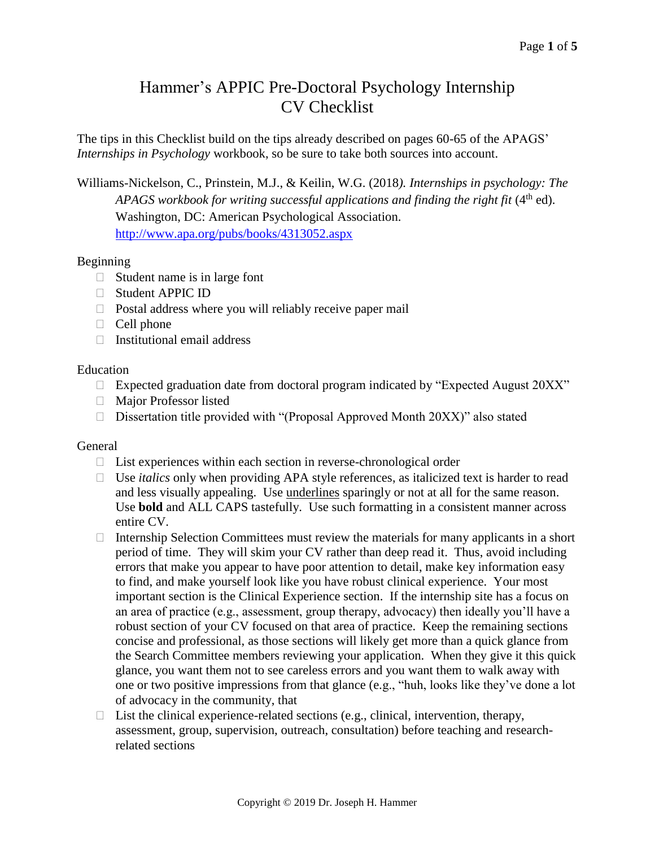# Hammer's APPIC Pre-Doctoral Psychology Internship CV Checklist

The tips in this Checklist build on the tips already described on pages 60-65 of the APAGS' *Internships in Psychology* workbook, so be sure to take both sources into account.

Williams-Nickelson, C., Prinstein, M.J., & Keilin, W.G. (2018*). Internships in psychology: The*  APAGS workbook for writing successful applications and finding the right fit (4<sup>th</sup> ed). Washington, DC: American Psychological Association. <http://www.apa.org/pubs/books/4313052.aspx>

## Beginning

- $\Box$  Student name is in large font
- □ Student APPIC ID
- $\Box$  Postal address where you will reliably receive paper mail
- $\Box$  Cell phone
- $\Box$  Institutional email address

## Education

- $\Box$  Expected graduation date from doctoral program indicated by "Expected August 20XX"
- Major Professor listed
- $\Box$  Dissertation title provided with "(Proposal Approved Month 20XX)" also stated

## General

- $\Box$  List experiences within each section in reverse-chronological order
- □ Use *italics* only when providing APA style references, as italicized text is harder to read and less visually appealing. Use underlines sparingly or not at all for the same reason. Use **bold** and ALL CAPS tastefully. Use such formatting in a consistent manner across entire CV.
- Internship Selection Committees must review the materials for many applicants in a short period of time. They will skim your CV rather than deep read it. Thus, avoid including errors that make you appear to have poor attention to detail, make key information easy to find, and make yourself look like you have robust clinical experience. Your most important section is the Clinical Experience section. If the internship site has a focus on an area of practice (e.g., assessment, group therapy, advocacy) then ideally you'll have a robust section of your CV focused on that area of practice. Keep the remaining sections concise and professional, as those sections will likely get more than a quick glance from the Search Committee members reviewing your application. When they give it this quick glance, you want them not to see careless errors and you want them to walk away with one or two positive impressions from that glance (e.g., "huh, looks like they've done a lot of advocacy in the community, that
- $\Box$  List the clinical experience-related sections (e.g., clinical, intervention, therapy, assessment, group, supervision, outreach, consultation) before teaching and researchrelated sections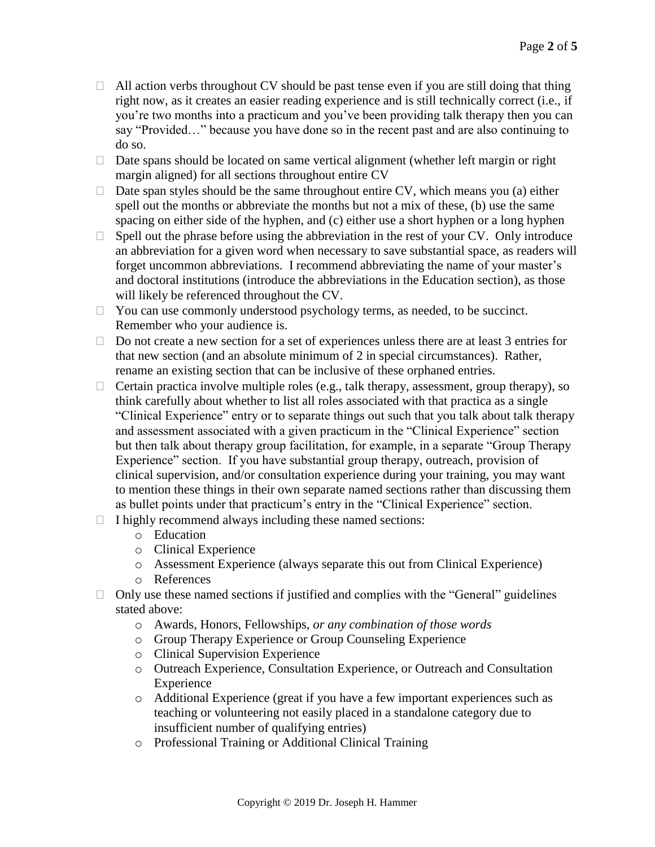- $\Box$  All action verbs throughout CV should be past tense even if you are still doing that thing right now, as it creates an easier reading experience and is still technically correct (i.e., if you're two months into a practicum and you've been providing talk therapy then you can say "Provided…" because you have done so in the recent past and are also continuing to do so.
- $\Box$  Date spans should be located on same vertical alignment (whether left margin or right margin aligned) for all sections throughout entire CV
- $\Box$  Date span styles should be the same throughout entire CV, which means you (a) either spell out the months or abbreviate the months but not a mix of these, (b) use the same spacing on either side of the hyphen, and (c) either use a short hyphen or a long hyphen
- $\Box$  Spell out the phrase before using the abbreviation in the rest of your CV. Only introduce an abbreviation for a given word when necessary to save substantial space, as readers will forget uncommon abbreviations. I recommend abbreviating the name of your master's and doctoral institutions (introduce the abbreviations in the Education section), as those will likely be referenced throughout the CV.
- □ You can use commonly understood psychology terms, as needed, to be succinct. Remember who your audience is.
- $\Box$  Do not create a new section for a set of experiences unless there are at least 3 entries for that new section (and an absolute minimum of 2 in special circumstances). Rather, rename an existing section that can be inclusive of these orphaned entries.
- $\Box$  Certain practica involve multiple roles (e.g., talk therapy, assessment, group therapy), so think carefully about whether to list all roles associated with that practica as a single "Clinical Experience" entry or to separate things out such that you talk about talk therapy and assessment associated with a given practicum in the "Clinical Experience" section but then talk about therapy group facilitation, for example, in a separate "Group Therapy Experience" section. If you have substantial group therapy, outreach, provision of clinical supervision, and/or consultation experience during your training, you may want to mention these things in their own separate named sections rather than discussing them as bullet points under that practicum's entry in the "Clinical Experience" section.
- $\Box$  I highly recommend always including these named sections:
	- o Education
	- o Clinical Experience
	- o Assessment Experience (always separate this out from Clinical Experience)
	- o References
- $\Box$  Only use these named sections if justified and complies with the "General" guidelines stated above:
	- o Awards, Honors, Fellowships, *or any combination of those words*
	- o Group Therapy Experience or Group Counseling Experience
	- o Clinical Supervision Experience
	- o Outreach Experience, Consultation Experience, or Outreach and Consultation Experience
	- o Additional Experience (great if you have a few important experiences such as teaching or volunteering not easily placed in a standalone category due to insufficient number of qualifying entries)
	- o Professional Training or Additional Clinical Training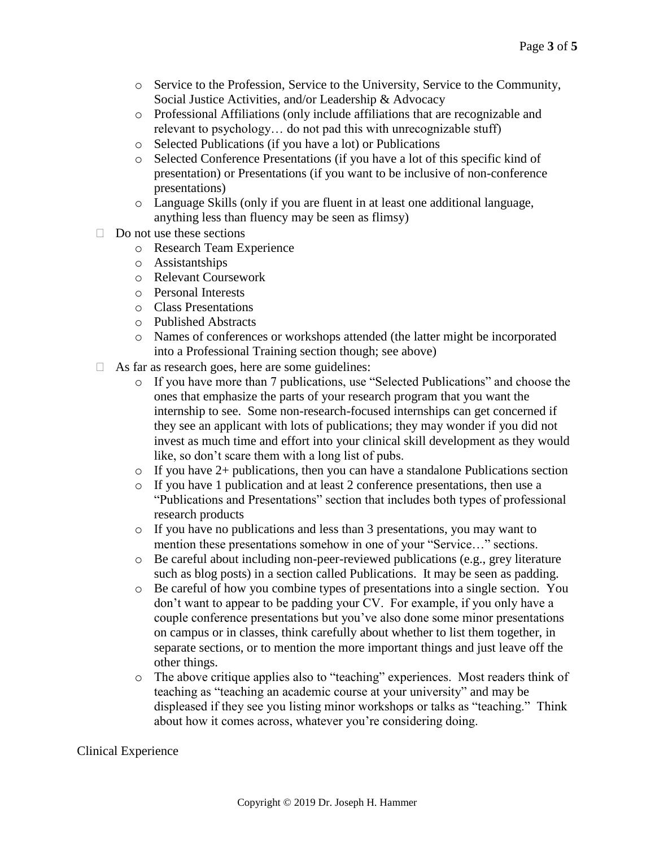- o Service to the Profession, Service to the University, Service to the Community, Social Justice Activities, and/or Leadership & Advocacy
- o Professional Affiliations (only include affiliations that are recognizable and relevant to psychology… do not pad this with unrecognizable stuff)
- o Selected Publications (if you have a lot) or Publications
- o Selected Conference Presentations (if you have a lot of this specific kind of presentation) or Presentations (if you want to be inclusive of non-conference presentations)
- o Language Skills (only if you are fluent in at least one additional language, anything less than fluency may be seen as flimsy)
- $\Box$  Do not use these sections
	- o Research Team Experience
	- o Assistantships
	- o Relevant Coursework
	- o Personal Interests
	- o Class Presentations
	- o Published Abstracts
	- o Names of conferences or workshops attended (the latter might be incorporated into a Professional Training section though; see above)
- $\Box$  As far as research goes, here are some guidelines:
	- o If you have more than 7 publications, use "Selected Publications" and choose the ones that emphasize the parts of your research program that you want the internship to see. Some non-research-focused internships can get concerned if they see an applicant with lots of publications; they may wonder if you did not invest as much time and effort into your clinical skill development as they would like, so don't scare them with a long list of pubs.
	- $\circ$  If you have 2+ publications, then you can have a standalone Publications section
	- o If you have 1 publication and at least 2 conference presentations, then use a "Publications and Presentations" section that includes both types of professional research products
	- o If you have no publications and less than 3 presentations, you may want to mention these presentations somehow in one of your "Service…" sections.
	- o Be careful about including non-peer-reviewed publications (e.g., grey literature such as blog posts) in a section called Publications. It may be seen as padding.
	- o Be careful of how you combine types of presentations into a single section. You don't want to appear to be padding your CV. For example, if you only have a couple conference presentations but you've also done some minor presentations on campus or in classes, think carefully about whether to list them together, in separate sections, or to mention the more important things and just leave off the other things.
	- o The above critique applies also to "teaching" experiences. Most readers think of teaching as "teaching an academic course at your university" and may be displeased if they see you listing minor workshops or talks as "teaching." Think about how it comes across, whatever you're considering doing.

# Clinical Experience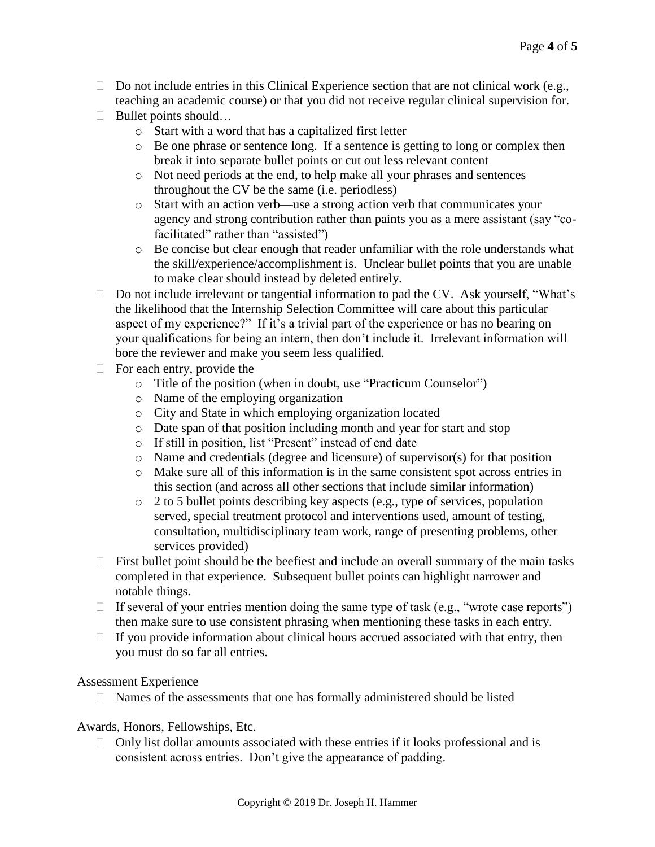- $\Box$  Do not include entries in this Clinical Experience section that are not clinical work (e.g., teaching an academic course) or that you did not receive regular clinical supervision for.
- □ Bullet points should...
	- o Start with a word that has a capitalized first letter
	- o Be one phrase or sentence long. If a sentence is getting to long or complex then break it into separate bullet points or cut out less relevant content
	- o Not need periods at the end, to help make all your phrases and sentences throughout the CV be the same (i.e. periodless)
	- o Start with an action verb—use a strong action verb that communicates your agency and strong contribution rather than paints you as a mere assistant (say "cofacilitated" rather than "assisted")
	- o Be concise but clear enough that reader unfamiliar with the role understands what the skill/experience/accomplishment is. Unclear bullet points that you are unable to make clear should instead by deleted entirely.
- $\Box$  Do not include irrelevant or tangential information to pad the CV. Ask yourself, "What's the likelihood that the Internship Selection Committee will care about this particular aspect of my experience?" If it's a trivial part of the experience or has no bearing on your qualifications for being an intern, then don't include it. Irrelevant information will bore the reviewer and make you seem less qualified.
- $\Box$  For each entry, provide the
	- o Title of the position (when in doubt, use "Practicum Counselor")
	- o Name of the employing organization
	- o City and State in which employing organization located
	- o Date span of that position including month and year for start and stop
	- o If still in position, list "Present" instead of end date
	- o Name and credentials (degree and licensure) of supervisor(s) for that position
	- o Make sure all of this information is in the same consistent spot across entries in this section (and across all other sections that include similar information)
	- o 2 to 5 bullet points describing key aspects (e.g., type of services, population served, special treatment protocol and interventions used, amount of testing, consultation, multidisciplinary team work, range of presenting problems, other services provided)
- $\Box$  First bullet point should be the beefiest and include an overall summary of the main tasks completed in that experience. Subsequent bullet points can highlight narrower and notable things.
- $\Box$  If several of your entries mention doing the same type of task (e.g., "wrote case reports") then make sure to use consistent phrasing when mentioning these tasks in each entry.
- $\Box$  If you provide information about clinical hours accrued associated with that entry, then you must do so far all entries.

## Assessment Experience

 $\Box$  Names of the assessments that one has formally administered should be listed

Awards, Honors, Fellowships, Etc.

 $\Box$  Only list dollar amounts associated with these entries if it looks professional and is consistent across entries. Don't give the appearance of padding.